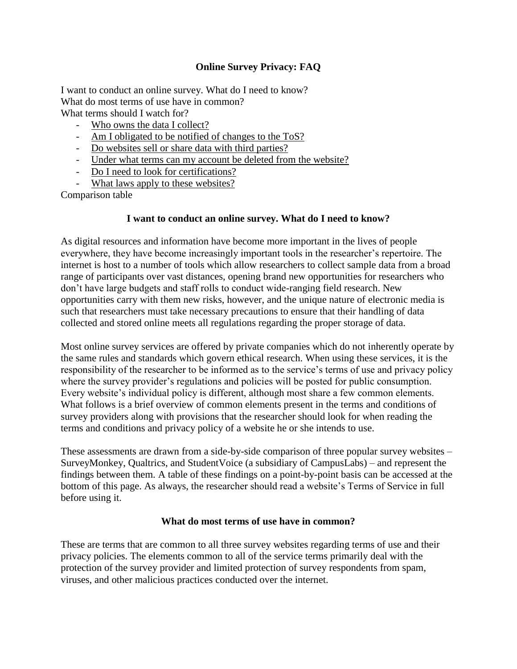# **Online Survey Privacy: FAQ**

I want to conduct an online survey. What do I need to know? What do most terms of use have in common? What terms should I watch for?

- Who owns the data I collect?
- Am I obligated to be notified of changes to the ToS?
- Do websites sell or share data with third parties?
- Under what terms can my account be deleted from the website?
- Do I need to look for certifications?
- What laws apply to these websites?

Comparison table

## **I want to conduct an online survey. What do I need to know?**

As digital resources and information have become more important in the lives of people everywhere, they have become increasingly important tools in the researcher's repertoire. The internet is host to a number of tools which allow researchers to collect sample data from a broad range of participants over vast distances, opening brand new opportunities for researchers who don't have large budgets and staff rolls to conduct wide-ranging field research. New opportunities carry with them new risks, however, and the unique nature of electronic media is such that researchers must take necessary precautions to ensure that their handling of data collected and stored online meets all regulations regarding the proper storage of data.

Most online survey services are offered by private companies which do not inherently operate by the same rules and standards which govern ethical research. When using these services, it is the responsibility of the researcher to be informed as to the service's terms of use and privacy policy where the survey provider's regulations and policies will be posted for public consumption. Every website's individual policy is different, although most share a few common elements. What follows is a brief overview of common elements present in the terms and conditions of survey providers along with provisions that the researcher should look for when reading the terms and conditions and privacy policy of a website he or she intends to use.

These assessments are drawn from a side-by-side comparison of three popular survey websites – SurveyMonkey, Qualtrics, and StudentVoice (a subsidiary of CampusLabs) – and represent the findings between them. A table of these findings on a point-by-point basis can be accessed at the bottom of this page. As always, the researcher should read a website's Terms of Service in full before using it.

#### **What do most terms of use have in common?**

These are terms that are common to all three survey websites regarding terms of use and their privacy policies. The elements common to all of the service terms primarily deal with the protection of the survey provider and limited protection of survey respondents from spam, viruses, and other malicious practices conducted over the internet.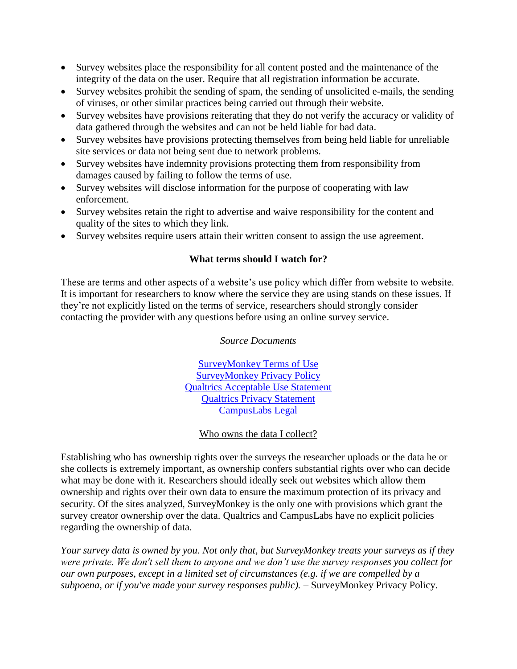- Survey websites place the responsibility for all content posted and the maintenance of the integrity of the data on the user. Require that all registration information be accurate.
- Survey websites prohibit the sending of spam, the sending of unsolicited e-mails, the sending of viruses, or other similar practices being carried out through their website.
- Survey websites have provisions reiterating that they do not verify the accuracy or validity of data gathered through the websites and can not be held liable for bad data.
- Survey websites have provisions protecting themselves from being held liable for unreliable site services or data not being sent due to network problems.
- Survey websites have indemnity provisions protecting them from responsibility from damages caused by failing to follow the terms of use.
- Survey websites will disclose information for the purpose of cooperating with law enforcement.
- Survey websites retain the right to advertise and waive responsibility for the content and quality of the sites to which they link.
- Survey websites require users attain their written consent to assign the use agreement.

## **What terms should I watch for?**

These are terms and other aspects of a website's use policy which differ from website to website. It is important for researchers to know where the service they are using stands on these issues. If they're not explicitly listed on the terms of service, researchers should strongly consider contacting the provider with any questions before using an online survey service.

*Source Documents*

[SurveyMonkey Terms of Use](http://www.surveymonkey.com/mp/policy/terms-of-use/) [SurveyMonkey Privacy Policy](http://www.surveymonkey.com/mp/policy/privacy-policy/) [Qualtrics Acceptable Use Statement](lhttp://www.qualtrics.com/acceptable-use-statement) [Qualtrics Privacy Statement](http://www.qualtrics.com/privacy-statement) [CampusLabs Legal](http://www.campuslabs.com/about-us/legal/)

## Who owns the data I collect?

Establishing who has ownership rights over the surveys the researcher uploads or the data he or she collects is extremely important, as ownership confers substantial rights over who can decide what may be done with it. Researchers should ideally seek out websites which allow them ownership and rights over their own data to ensure the maximum protection of its privacy and security. Of the sites analyzed, SurveyMonkey is the only one with provisions which grant the survey creator ownership over the data. Qualtrics and CampusLabs have no explicit policies regarding the ownership of data.

*Your survey data is owned by you. Not only that, but SurveyMonkey treats your surveys as if they were private. We don't sell them to anyone and we don't use the survey responses you collect for our own purposes, except in a limited set of circumstances (e.g. if we are compelled by a subpoena, or if you've made your survey responses public).* – SurveyMonkey Privacy Policy.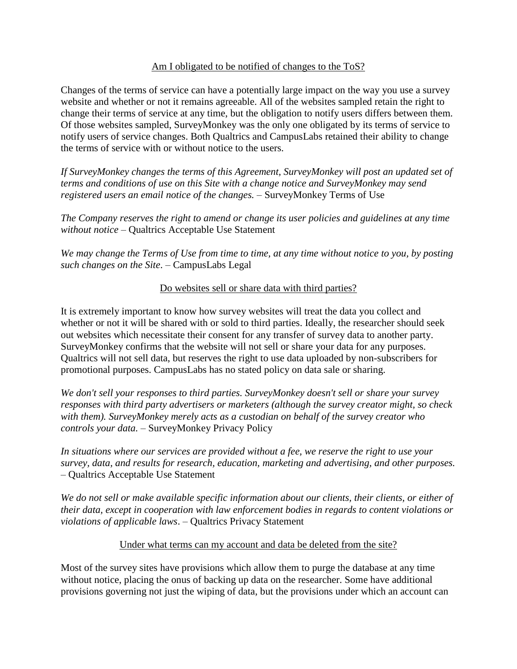#### Am I obligated to be notified of changes to the ToS?

Changes of the terms of service can have a potentially large impact on the way you use a survey website and whether or not it remains agreeable. All of the websites sampled retain the right to change their terms of service at any time, but the obligation to notify users differs between them. Of those websites sampled, SurveyMonkey was the only one obligated by its terms of service to notify users of service changes. Both Qualtrics and CampusLabs retained their ability to change the terms of service with or without notice to the users.

*If SurveyMonkey changes the terms of this Agreement, SurveyMonkey will post an updated set of terms and conditions of use on this Site with a change notice and SurveyMonkey may send registered users an email notice of the changes. –* SurveyMonkey Terms of Use

*The Company reserves the right to amend or change its user policies and guidelines at any time without notice* – Qualtrics Acceptable Use Statement

*We may change the Terms of Use from time to time, at any time without notice to you, by posting such changes on the Site*. – CampusLabs Legal

## Do websites sell or share data with third parties?

It is extremely important to know how survey websites will treat the data you collect and whether or not it will be shared with or sold to third parties. Ideally, the researcher should seek out websites which necessitate their consent for any transfer of survey data to another party. SurveyMonkey confirms that the website will not sell or share your data for any purposes. Qualtrics will not sell data, but reserves the right to use data uploaded by non-subscribers for promotional purposes. CampusLabs has no stated policy on data sale or sharing.

*We don't sell your responses to third parties. SurveyMonkey doesn't sell or share your survey responses with third party advertisers or marketers (although the survey creator might, so check with them). SurveyMonkey merely acts as a custodian on behalf of the survey creator who controls your data.* – SurveyMonkey Privacy Policy

*In situations where our services are provided without a fee, we reserve the right to use your survey, data, and results for research, education, marketing and advertising, and other purposes.* – Qualtrics Acceptable Use Statement

*We do not sell or make available specific information about our clients, their clients, or either of their data, except in cooperation with law enforcement bodies in regards to content violations or violations of applicable laws*. – Qualtrics Privacy Statement

#### Under what terms can my account and data be deleted from the site?

Most of the survey sites have provisions which allow them to purge the database at any time without notice, placing the onus of backing up data on the researcher. Some have additional provisions governing not just the wiping of data, but the provisions under which an account can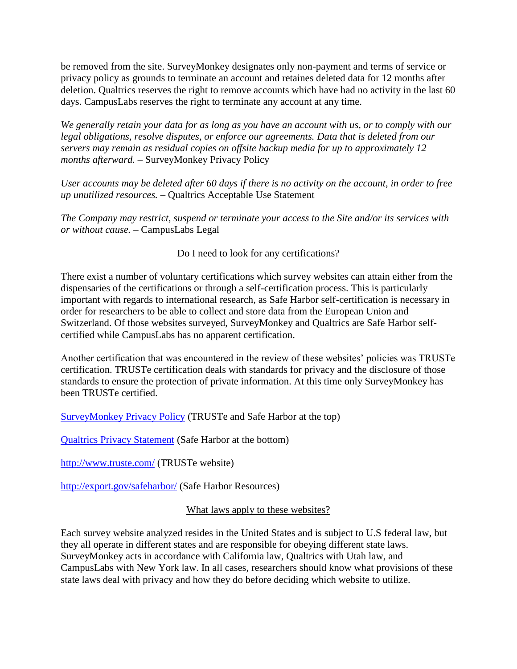be removed from the site. SurveyMonkey designates only non-payment and terms of service or privacy policy as grounds to terminate an account and retaines deleted data for 12 months after deletion. Qualtrics reserves the right to remove accounts which have had no activity in the last 60 days. CampusLabs reserves the right to terminate any account at any time.

*We generally retain your data for as long as you have an account with us, or to comply with our legal obligations, resolve disputes, or enforce our agreements. Data that is deleted from our servers may remain as residual copies on offsite backup media for up to approximately 12 months afterward.* – SurveyMonkey Privacy Policy

*User accounts may be deleted after 60 days if there is no activity on the account, in order to free up unutilized resources.* – Qualtrics Acceptable Use Statement

*The Company may restrict, suspend or terminate your access to the Site and/or its services with or without cause.* – CampusLabs Legal

# Do I need to look for any certifications?

There exist a number of voluntary certifications which survey websites can attain either from the dispensaries of the certifications or through a self-certification process. This is particularly important with regards to international research, as Safe Harbor self-certification is necessary in order for researchers to be able to collect and store data from the European Union and Switzerland. Of those websites surveyed, SurveyMonkey and Qualtrics are Safe Harbor selfcertified while CampusLabs has no apparent certification.

Another certification that was encountered in the review of these websites' policies was TRUSTe certification. TRUSTe certification deals with standards for privacy and the disclosure of those standards to ensure the protection of private information. At this time only SurveyMonkey has been TRUSTe certified.

[SurveyMonkey Privacy Policy](http://www.surveymonkey.com/mp/policy/privacy-policy/) (TRUSTe and Safe Harbor at the top)

[Qualtrics Privacy Statement](http://www.qualtrics.com/privacy-statement) (Safe Harbor at the bottom)

<http://www.truste.com/> (TRUSTe website)

<http://export.gov/safeharbor/> (Safe Harbor Resources)

## What laws apply to these websites?

Each survey website analyzed resides in the United States and is subject to U.S federal law, but they all operate in different states and are responsible for obeying different state laws. SurveyMonkey acts in accordance with California law, Qualtrics with Utah law, and CampusLabs with New York law. In all cases, researchers should know what provisions of these state laws deal with privacy and how they do before deciding which website to utilize.